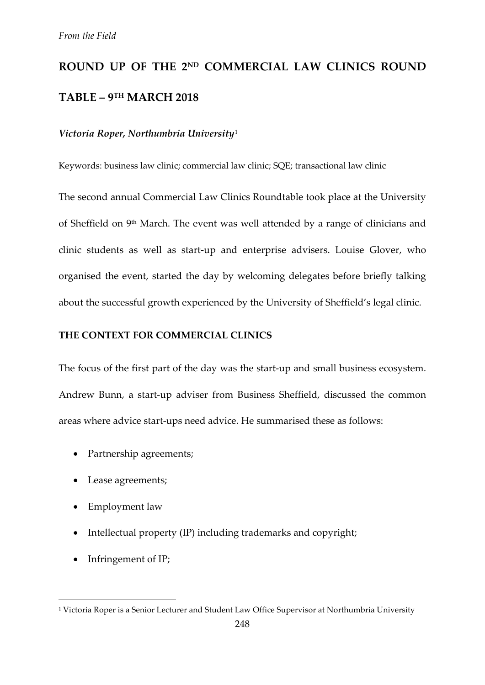# **ROUND UP OF THE 2ND COMMERCIAL LAW CLINICS ROUND TABLE – 9TH MARCH 2018**

#### *Victoria Roper, Northumbria University*[1](#page-0-0)

Keywords: business law clinic; commercial law clinic; SQE; transactional law clinic

The second annual Commercial Law Clinics Roundtable took place at the University of Sheffield on 9<sup>th</sup> March. The event was well attended by a range of clinicians and clinic students as well as start-up and enterprise advisers. Louise Glover, who organised the event, started the day by welcoming delegates before briefly talking about the successful growth experienced by the University of Sheffield's legal clinic.

#### **THE CONTEXT FOR COMMERCIAL CLINICS**

The focus of the first part of the day was the start-up and small business ecosystem. Andrew Bunn, a start-up adviser from Business Sheffield, discussed the common areas where advice start-ups need advice. He summarised these as follows:

- Partnership agreements;
- Lease agreements;
- Employment law
- Intellectual property (IP) including trademarks and copyright;
- Infringement of IP;

**.** 

<span id="page-0-0"></span><sup>1</sup> Victoria Roper is a Senior Lecturer and Student Law Office Supervisor at Northumbria University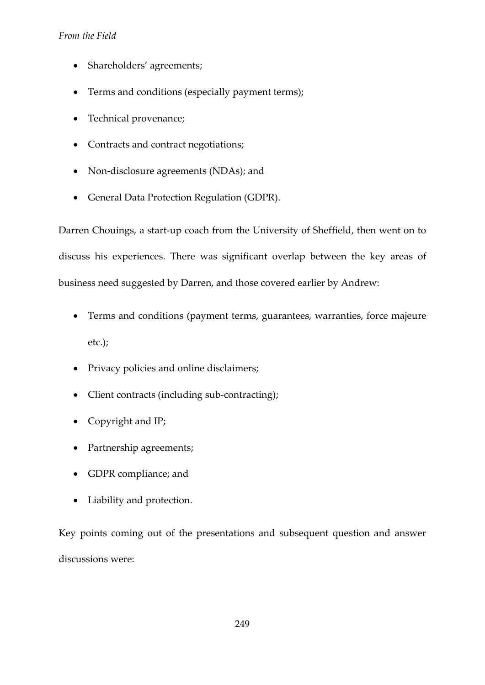### *From the Field*

- Shareholders' agreements;
- Terms and conditions (especially payment terms);
- Technical provenance;
- Contracts and contract negotiations;
- Non-disclosure agreements (NDAs); and
- General Data Protection Regulation (GDPR).

Darren Chouings, a start-up coach from the University of Sheffield, then went on to discuss his experiences. There was significant overlap between the key areas of business need suggested by Darren, and those covered earlier by Andrew:

- Terms and conditions (payment terms, guarantees, warranties, force majeure etc.);
- Privacy policies and online disclaimers;
- Client contracts (including sub-contracting);
- Copyright and IP;
- Partnership agreements;
- GDPR compliance; and
- Liability and protection.

Key points coming out of the presentations and subsequent question and answer discussions were: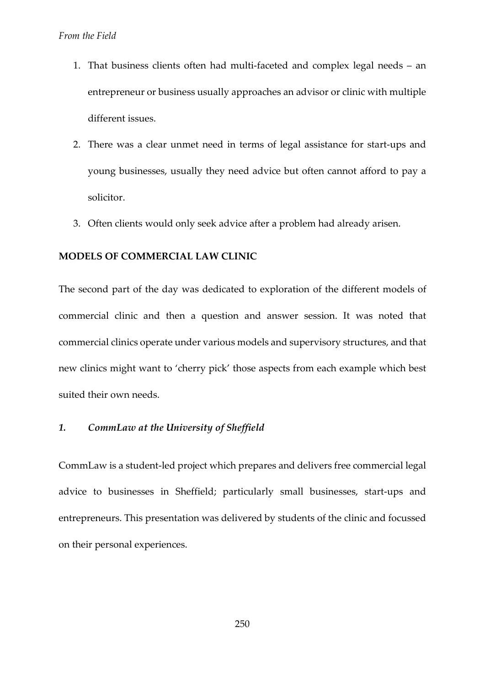- 1. That business clients often had multi-faceted and complex legal needs an entrepreneur or business usually approaches an advisor or clinic with multiple different issues.
- 2. There was a clear unmet need in terms of legal assistance for start-ups and young businesses, usually they need advice but often cannot afford to pay a solicitor.
- 3. Often clients would only seek advice after a problem had already arisen.

#### **MODELS OF COMMERCIAL LAW CLINIC**

The second part of the day was dedicated to exploration of the different models of commercial clinic and then a question and answer session. It was noted that commercial clinics operate under various models and supervisory structures, and that new clinics might want to 'cherry pick' those aspects from each example which best suited their own needs.

#### *1. CommLaw at the University of Sheffield*

CommLaw is a student-led project which prepares and delivers free commercial legal advice to businesses in Sheffield; particularly small businesses, start-ups and entrepreneurs. This presentation was delivered by students of the clinic and focussed on their personal experiences.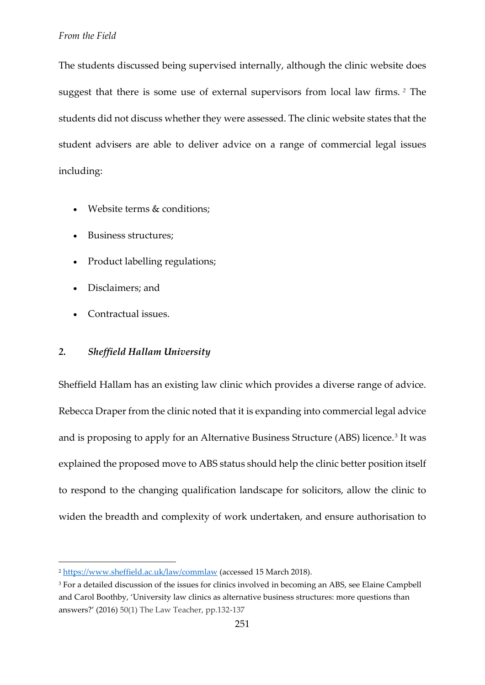The students discussed being supervised internally, although the clinic website does suggest that there is some use of external supervisors from local law firms. *[2](#page-3-0)* The students did not discuss whether they were assessed. The clinic website states that the student advisers are able to deliver advice on a range of commercial legal issues including:

- Website terms & conditions;
- Business structures;
- Product labelling regulations;
- Disclaimers; and
- Contractual issues.

 $\overline{a}$ 

#### *2. Sheffield Hallam University*

Sheffield Hallam has an existing law clinic which provides a diverse range of advice. Rebecca Draper from the clinic noted that it is expanding into commercial legal advice and is proposing to apply for an Alternative Business Structure (ABS) licence.<sup>[3](#page-3-1)</sup> It was explained the proposed move to ABS status should help the clinic better position itself to respond to the changing qualification landscape for solicitors, allow the clinic to widen the breadth and complexity of work undertaken, and ensure authorisation to

<span id="page-3-0"></span><sup>2</sup> <https://www.sheffield.ac.uk/law/commlaw> (accessed 15 March 2018).

<span id="page-3-1"></span><sup>&</sup>lt;sup>3</sup> For a detailed discussion of the issues for clinics involved in becoming an ABS, see Elaine Campbell and Carol Boothby, 'University law clinics as alternative business structures: more questions than answers?' (2016) 50(1) The Law Teacher, pp.132-137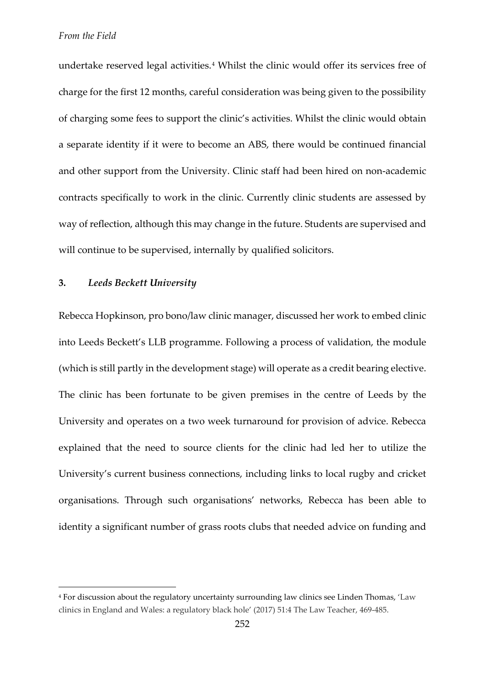undertake reserved legal activities.<sup>[4](#page-4-0)</sup> Whilst the clinic would offer its services free of charge for the first 12 months, careful consideration was being given to the possibility of charging some fees to support the clinic's activities. Whilst the clinic would obtain a separate identity if it were to become an ABS, there would be continued financial and other support from the University. Clinic staff had been hired on non-academic contracts specifically to work in the clinic. Currently clinic students are assessed by way of reflection, although this may change in the future. Students are supervised and will continue to be supervised, internally by qualified solicitors.

#### **3.** *Leeds Beckett University*

 $\overline{a}$ 

Rebecca Hopkinson, pro bono/law clinic manager, discussed her work to embed clinic into Leeds Beckett's LLB programme. Following a process of validation, the module (which is still partly in the development stage) will operate as a credit bearing elective. The clinic has been fortunate to be given premises in the centre of Leeds by the University and operates on a two week turnaround for provision of advice. Rebecca explained that the need to source clients for the clinic had led her to utilize the University's current business connections, including links to local rugby and cricket organisations. Through such organisations' networks, Rebecca has been able to identity a significant number of grass roots clubs that needed advice on funding and

<span id="page-4-0"></span><sup>4</sup> For discussion about the regulatory uncertainty surrounding law clinics see Linden Thomas, 'Law clinics in England and Wales: a regulatory black hole' (2017) 51:4 The Law Teacher, 469-485.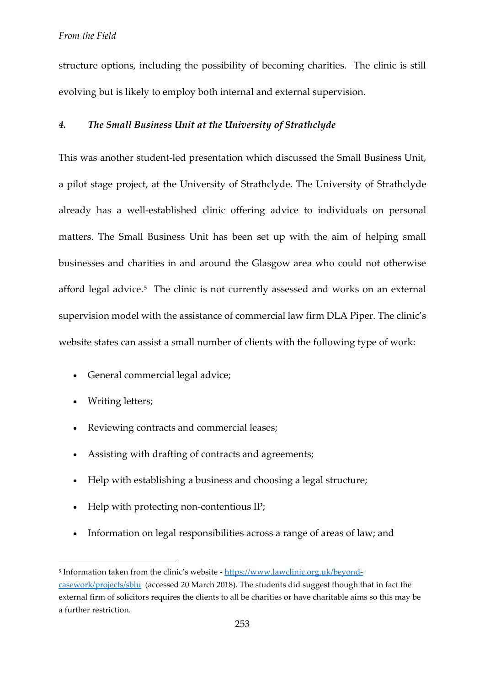structure options, including the possibility of becoming charities. The clinic is still evolving but is likely to employ both internal and external supervision.

#### *4. The Small Business Unit at the University of Strathclyde*

This was another student-led presentation which discussed the Small Business Unit, a pilot stage project, at the University of Strathclyde. The University of Strathclyde already has a well-established clinic offering advice to individuals on personal matters. The Small Business Unit has been set up with the aim of helping small businesses and charities in and around the Glasgow area who could not otherwise afford legal advice.<sup>[5](#page-5-0)</sup> The clinic is not currently assessed and works on an external supervision model with the assistance of commercial law firm DLA Piper. The clinic's website states can assist a small number of clients with the following type of work:

- General commercial legal advice;
- Writing letters;

 $\overline{a}$ 

- Reviewing contracts and commercial leases;
- Assisting with drafting of contracts and agreements;
- Help with establishing a business and choosing a legal structure;
- Help with protecting non-contentious IP;
- Information on legal responsibilities across a range of areas of law; and

<span id="page-5-0"></span><sup>&</sup>lt;sup>5</sup> Information taken from the clinic's website - [https://www.lawclinic.org.uk/beyond-](https://www.lawclinic.org.uk/beyond-casework/projects/sblu)

[casework/projects/sblu](https://www.lawclinic.org.uk/beyond-casework/projects/sblu) (accessed 20 March 2018). The students did suggest though that in fact the external firm of solicitors requires the clients to all be charities or have charitable aims so this may be a further restriction.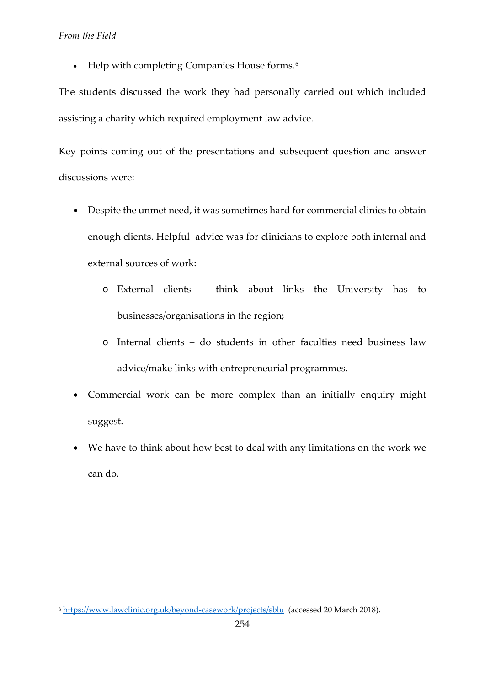#### *From the Field*

**.** 

• Help with completing Companies House forms.<sup>[6](#page-6-0)</sup>

The students discussed the work they had personally carried out which included assisting a charity which required employment law advice.

Key points coming out of the presentations and subsequent question and answer discussions were:

- Despite the unmet need, it was sometimes hard for commercial clinics to obtain enough clients. Helpful advice was for clinicians to explore both internal and external sources of work:
	- o External clients think about links the University has to businesses/organisations in the region;
	- o Internal clients do students in other faculties need business law advice/make links with entrepreneurial programmes.
- Commercial work can be more complex than an initially enquiry might suggest.
- We have to think about how best to deal with any limitations on the work we can do.

<span id="page-6-0"></span><sup>6</sup> <https://www.lawclinic.org.uk/beyond-casework/projects/sblu>(accessed 20 March 2018).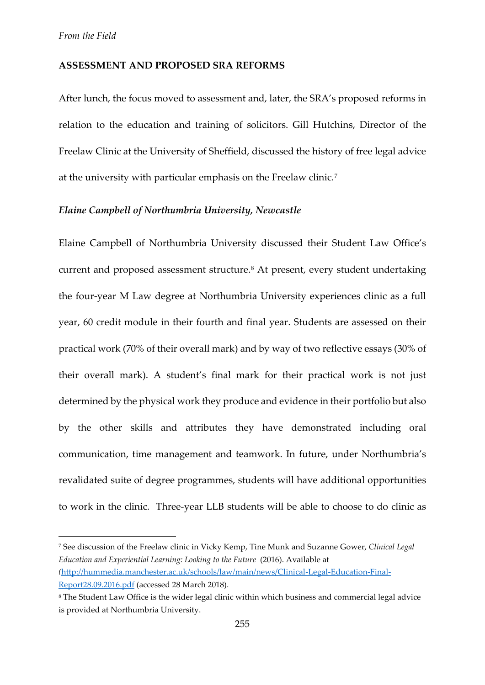$\overline{a}$ 

#### **ASSESSMENT AND PROPOSED SRA REFORMS**

After lunch, the focus moved to assessment and, later, the SRA's proposed reforms in relation to the education and training of solicitors. Gill Hutchins, Director of the Freelaw Clinic at the University of Sheffield, discussed the history of free legal advice at the university with particular emphasis on the Freelaw clinic.[7](#page-7-0)

#### *Elaine Campbell of Northumbria University, Newcastle*

Elaine Campbell of Northumbria University discussed their Student Law Office's current and proposed assessment structure.<sup>[8](#page-7-1)</sup> At present, every student undertaking the four-year M Law degree at Northumbria University experiences clinic as a full year, 60 credit module in their fourth and final year. Students are assessed on their practical work (70% of their overall mark) and by way of two reflective essays (30% of their overall mark). A student's final mark for their practical work is not just determined by the physical work they produce and evidence in their portfolio but also by the other skills and attributes they have demonstrated including oral communication, time management and teamwork. In future, under Northumbria's revalidated suite of degree programmes, students will have additional opportunities to work in the clinic. Three-year LLB students will be able to choose to do clinic as

<span id="page-7-0"></span><sup>7</sup> See discussion of the Freelaw clinic in Vicky Kemp, Tine Munk and Suzanne Gower, *Clinical Legal Education and Experiential Learning: Looking to the Future* (2016). Available at *(*[http://hummedia.manchester.ac.uk/schools/law/main/news/Clinical-Legal-Education-Final-](http://hummedia.manchester.ac.uk/schools/law/main/news/Clinical-Legal-Education-Final-Report28.09.2016.pdf)[Report28.09.2016.pdf](http://hummedia.manchester.ac.uk/schools/law/main/news/Clinical-Legal-Education-Final-Report28.09.2016.pdf) (accessed 28 March 2018).

<span id="page-7-1"></span><sup>8</sup> The Student Law Office is the wider legal clinic within which business and commercial legal advice is provided at Northumbria University.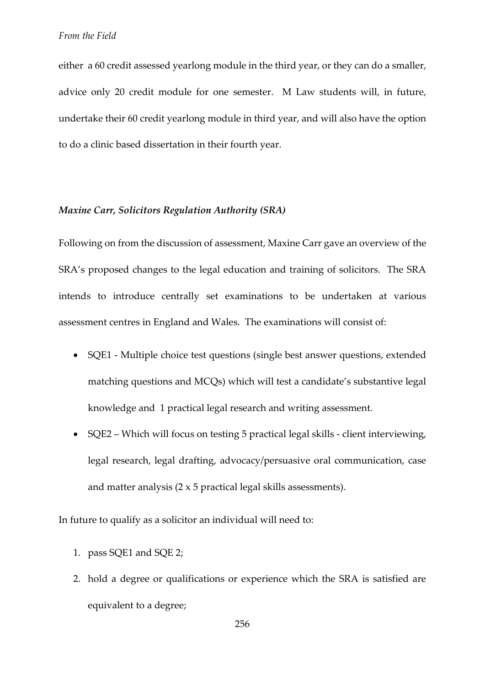either a 60 credit assessed yearlong module in the third year, or they can do a smaller, advice only 20 credit module for one semester. M Law students will, in future, undertake their 60 credit yearlong module in third year, and will also have the option to do a clinic based dissertation in their fourth year.

#### *Maxine Carr, Solicitors Regulation Authority (SRA)*

Following on from the discussion of assessment, Maxine Carr gave an overview of the SRA's proposed changes to the legal education and training of solicitors. The SRA intends to introduce centrally set examinations to be undertaken at various assessment centres in England and Wales. The examinations will consist of:

- SQE1 Multiple choice test questions (single best answer questions, extended matching questions and MCQs) which will test a candidate's substantive legal knowledge and 1 practical legal research and writing assessment.
- SQE2 Which will focus on testing 5 practical legal skills client interviewing, legal research, legal drafting, advocacy/persuasive oral communication, case and matter analysis  $(2 \times 5$  practical legal skills assessments).

In future to qualify as a solicitor an individual will need to:

- 1. pass SQE1 and SQE 2;
- 2. hold a degree or qualifications or experience which the SRA is satisfied are equivalent to a degree;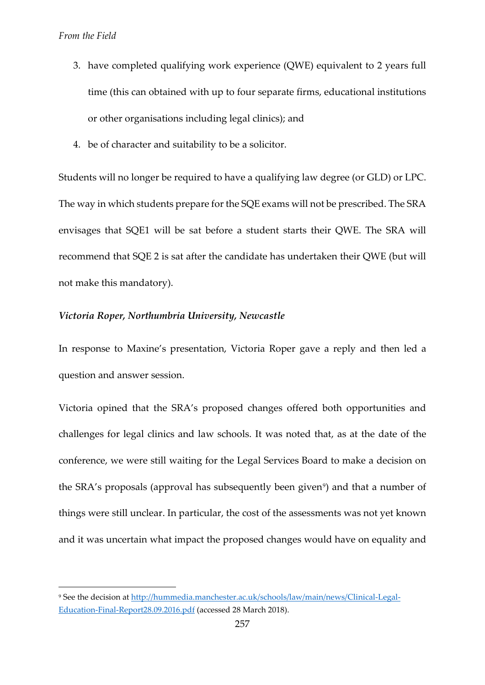$\overline{a}$ 

- 3. have completed qualifying work experience (QWE) equivalent to 2 years full time (this can obtained with up to four separate firms, educational institutions or other organisations including legal clinics); and
- 4. be of character and suitability to be a solicitor.

Students will no longer be required to have a qualifying law degree (or GLD) or LPC. The way in which students prepare for the SQE exams will not be prescribed. The SRA envisages that SQE1 will be sat before a student starts their QWE. The SRA will recommend that SQE 2 is sat after the candidate has undertaken their QWE (but will not make this mandatory).

#### *Victoria Roper, Northumbria University, Newcastle*

In response to Maxine's presentation, Victoria Roper gave a reply and then led a question and answer session.

Victoria opined that the SRA's proposed changes offered both opportunities and challenges for legal clinics and law schools. It was noted that, as at the date of the conference, we were still waiting for the Legal Services Board to make a decision on the SRA's proposals (approval has subsequently been given<sup>9</sup>) and that a number of things were still unclear. In particular, the cost of the assessments was not yet known and it was uncertain what impact the proposed changes would have on equality and

<span id="page-9-0"></span><sup>9</sup> See the decision at [http://hummedia.manchester.ac.uk/schools/law/main/news/Clinical-Legal-](http://hummedia.manchester.ac.uk/schools/law/main/news/Clinical-Legal-Education-Final-Report28.09.2016.pdf)[Education-Final-Report28.09.2016.pdf](http://hummedia.manchester.ac.uk/schools/law/main/news/Clinical-Legal-Education-Final-Report28.09.2016.pdf) (accessed 28 March 2018).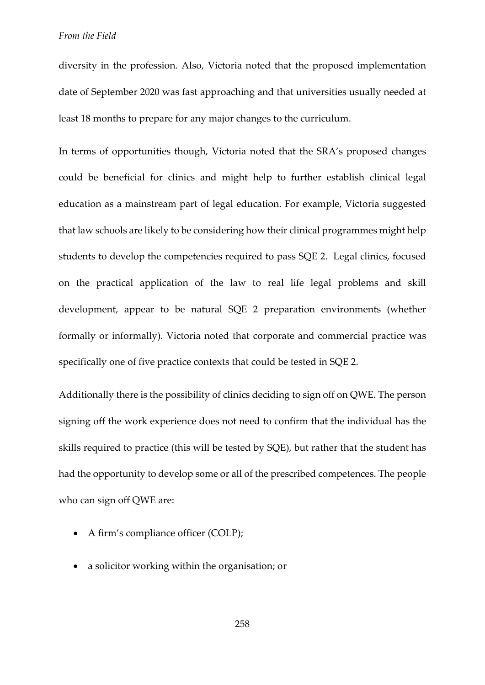diversity in the profession. Also, Victoria noted that the proposed implementation date of September 2020 was fast approaching and that universities usually needed at least 18 months to prepare for any major changes to the curriculum.

In terms of opportunities though, Victoria noted that the SRA's proposed changes could be beneficial for clinics and might help to further establish clinical legal education as a mainstream part of legal education. For example, Victoria suggested that law schools are likely to be considering how their clinical programmes might help students to develop the competencies required to pass SQE 2. Legal clinics, focused on the practical application of the law to real life legal problems and skill development, appear to be natural SQE 2 preparation environments (whether formally or informally). Victoria noted that corporate and commercial practice was specifically one of five practice contexts that could be tested in SQE 2.

Additionally there is the possibility of clinics deciding to sign off on QWE. The person signing off the work experience does not need to confirm that the individual has the skills required to practice (this will be tested by SQE), but rather that the student has had the opportunity to develop some or all of the prescribed competences. The people who can sign off QWE are:

- A firm's compliance officer (COLP);
- a solicitor working within the organisation; or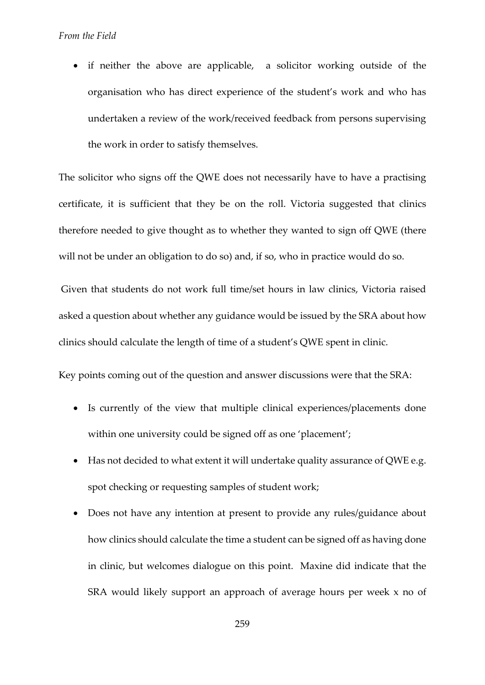• if neither the above are applicable, a solicitor working outside of the organisation who has direct experience of the student's work and who has undertaken a review of the work/received feedback from persons supervising the work in order to satisfy themselves.

The solicitor who signs off the QWE does not necessarily have to have a practising certificate, it is sufficient that they be on the roll. Victoria suggested that clinics therefore needed to give thought as to whether they wanted to sign off QWE (there will not be under an obligation to do so) and, if so, who in practice would do so.

Given that students do not work full time/set hours in law clinics, Victoria raised asked a question about whether any guidance would be issued by the SRA about how clinics should calculate the length of time of a student's QWE spent in clinic.

Key points coming out of the question and answer discussions were that the SRA:

- Is currently of the view that multiple clinical experiences/placements done within one university could be signed off as one 'placement';
- Has not decided to what extent it will undertake quality assurance of QWE e.g. spot checking or requesting samples of student work;
- Does not have any intention at present to provide any rules/guidance about how clinics should calculate the time a student can be signed off as having done in clinic, but welcomes dialogue on this point. Maxine did indicate that the SRA would likely support an approach of average hours per week x no of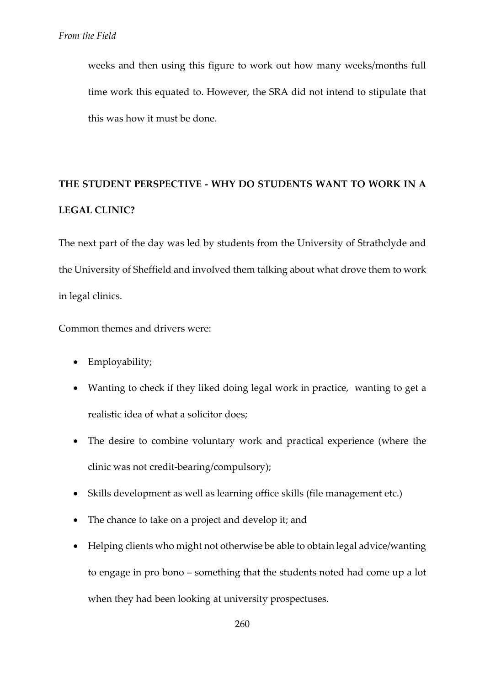weeks and then using this figure to work out how many weeks/months full time work this equated to. However, the SRA did not intend to stipulate that this was how it must be done.

## **THE STUDENT PERSPECTIVE - WHY DO STUDENTS WANT TO WORK IN A LEGAL CLINIC?**

The next part of the day was led by students from the University of Strathclyde and the University of Sheffield and involved them talking about what drove them to work in legal clinics.

Common themes and drivers were:

- Employability;
- Wanting to check if they liked doing legal work in practice, wanting to get a realistic idea of what a solicitor does;
- The desire to combine voluntary work and practical experience (where the clinic was not credit-bearing/compulsory);
- Skills development as well as learning office skills (file management etc.)
- The chance to take on a project and develop it; and
- Helping clients who might not otherwise be able to obtain legal advice/wanting to engage in pro bono – something that the students noted had come up a lot when they had been looking at university prospectuses.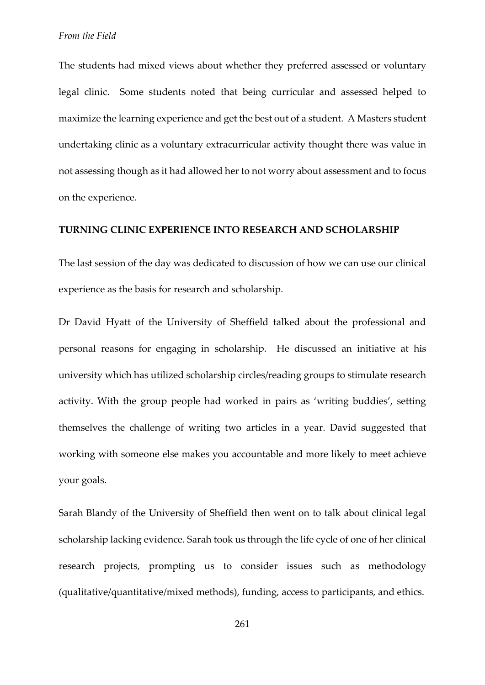The students had mixed views about whether they preferred assessed or voluntary legal clinic. Some students noted that being curricular and assessed helped to maximize the learning experience and get the best out of a student. A Masters student undertaking clinic as a voluntary extracurricular activity thought there was value in not assessing though as it had allowed her to not worry about assessment and to focus on the experience.

#### **TURNING CLINIC EXPERIENCE INTO RESEARCH AND SCHOLARSHIP**

The last session of the day was dedicated to discussion of how we can use our clinical experience as the basis for research and scholarship.

Dr David Hyatt of the University of Sheffield talked about the professional and personal reasons for engaging in scholarship. He discussed an initiative at his university which has utilized scholarship circles/reading groups to stimulate research activity. With the group people had worked in pairs as 'writing buddies', setting themselves the challenge of writing two articles in a year. David suggested that working with someone else makes you accountable and more likely to meet achieve your goals.

Sarah Blandy of the University of Sheffield then went on to talk about clinical legal scholarship lacking evidence. Sarah took us through the life cycle of one of her clinical research projects, prompting us to consider issues such as methodology (qualitative/quantitative/mixed methods), funding, access to participants, and ethics.